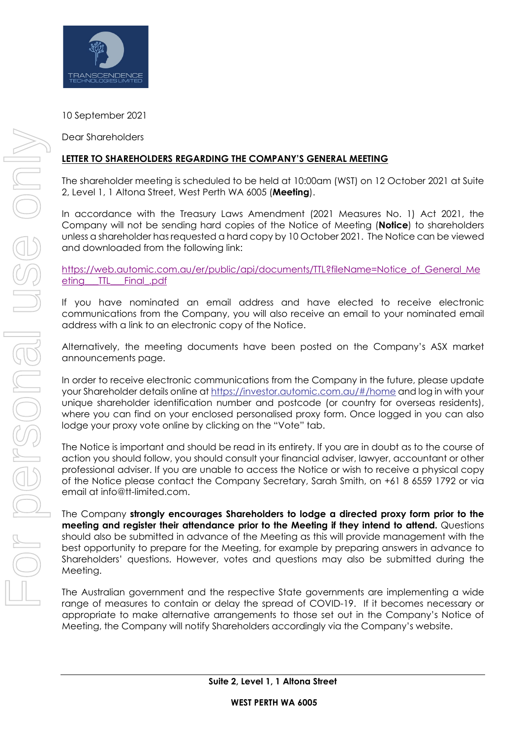

10 September 2021

Dear Shareholders

## **LETTER TO SHAREHOLDERS REGARDING THE COMPANY'S GENERAL MEETING**

The shareholder meeting is scheduled to be held at 10:00am (WST) on 12 October 2021 at Suite 2, Level 1, 1 Altona Street, West Perth WA 6005 (**Meeting**).

In accordance with the Treasury Laws Amendment (2021 Measures No. 1) Act 2021, the Company will not be sending hard copies of the Notice of Meeting (**Notice**) to shareholders unless a shareholder has requested a hard copy by 10 October 2021. The Notice can be viewed and downloaded from the following link:

https://web.automic.com.au/er/public/api/documents/TTL?fileName=Notice\_of\_General\_Me eting\_\_\_TTL\_\_\_Final\_.pdf

If you have nominated an email address and have elected to receive electronic communications from the Company, you will also receive an email to your nominated email address with a link to an electronic copy of the Notice.

Alternatively, the meeting documents have been posted on the Company's ASX market announcements page.

In order to receive electronic communications from the Company in the future, please update your Shareholder details online at https://investor.automic.com.au/#/home and log in with your unique shareholder identification number and postcode (or country for overseas residents), where you can find on your enclosed personalised proxy form. Once logged in you can also lodge your proxy vote online by clicking on the "Vote" tab.

The Notice is important and should be read in its entirety. If you are in doubt as to the course of action you should follow, you should consult your financial adviser, lawyer, accountant or other professional adviser. If you are unable to access the Notice or wish to receive a physical copy of the Notice please contact the Company Secretary, Sarah Smith, on +61 8 6559 1792 or via email at info@tt-limited.com.

The Company **strongly encourages Shareholders to lodge a directed proxy form prior to the meeting and register their attendance prior to the Meeting if they intend to attend.** Questions should also be submitted in advance of the Meeting as this will provide management with the best opportunity to prepare for the Meeting, for example by preparing answers in advance to Shareholders' questions. However, votes and questions may also be submitted during the Meeting.

The Australian government and the respective State governments are implementing a wide range of measures to contain or delay the spread of COVID-19. If it becomes necessary or appropriate to make alternative arrangements to those set out in the Company's Notice of Meeting, the Company will notify Shareholders accordingly via the Company's website.